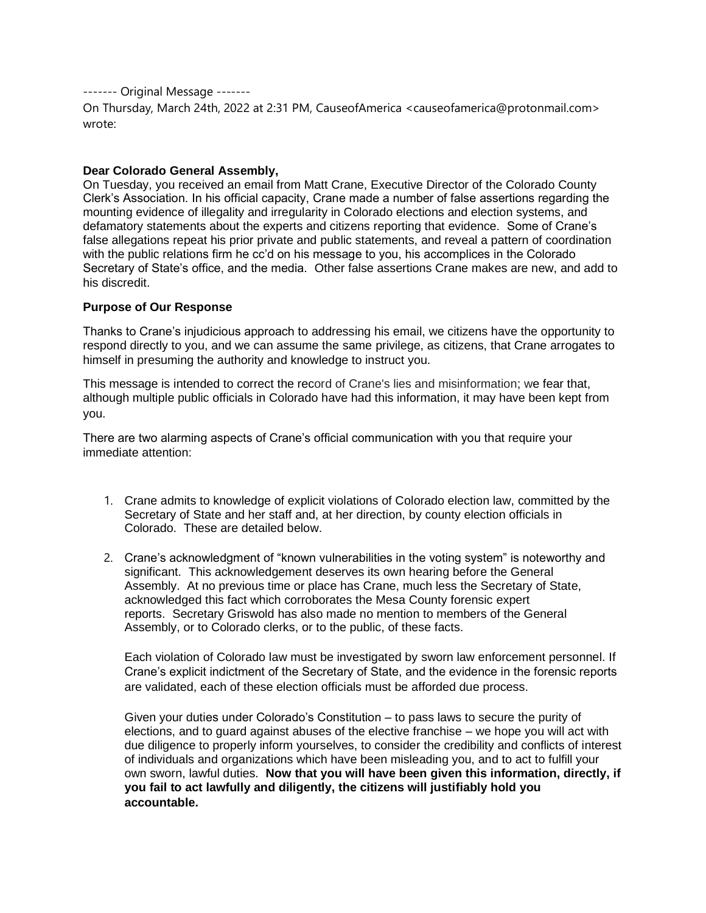------- Original Message -------

On Thursday, March 24th, 2022 at 2:31 PM, CauseofAmerica <causeofamerica@protonmail.com> wrote:

## **Dear Colorado General Assembly,**

On Tuesday, you received an email from Matt Crane, Executive Director of the Colorado County Clerk's Association. In his official capacity, Crane made a number of false assertions regarding the mounting evidence of illegality and irregularity in Colorado elections and election systems, and defamatory statements about the experts and citizens reporting that evidence. Some of Crane's false allegations repeat his prior private and public statements, and reveal a pattern of coordination with the public relations firm he cc'd on his message to you, his accomplices in the Colorado Secretary of State's office, and the media. Other false assertions Crane makes are new, and add to his discredit.

## **Purpose of Our Response**

Thanks to Crane's injudicious approach to addressing his email, we citizens have the opportunity to respond directly to you, and we can assume the same privilege, as citizens, that Crane arrogates to himself in presuming the authority and knowledge to instruct you.

This message is intended to correct the record of Crane's lies and misinformation; we fear that, although multiple public officials in Colorado have had this information, it may have been kept from you.

There are two alarming aspects of Crane's official communication with you that require your immediate attention:

- 1. Crane admits to knowledge of explicit violations of Colorado election law, committed by the Secretary of State and her staff and, at her direction, by county election officials in Colorado. These are detailed below.
- 2. Crane's acknowledgment of "known vulnerabilities in the voting system" is noteworthy and significant. This acknowledgement deserves its own hearing before the General Assembly. At no previous time or place has Crane, much less the Secretary of State, acknowledged this fact which corroborates the Mesa County forensic expert reports. Secretary Griswold has also made no mention to members of the General Assembly, or to Colorado clerks, or to the public, of these facts.

Each violation of Colorado law must be investigated by sworn law enforcement personnel. If Crane's explicit indictment of the Secretary of State, and the evidence in the forensic reports are validated, each of these election officials must be afforded due process.

Given your duties under Colorado's Constitution – to pass laws to secure the purity of elections, and to guard against abuses of the elective franchise – we hope you will act with due diligence to properly inform yourselves, to consider the credibility and conflicts of interest of individuals and organizations which have been misleading you, and to act to fulfill your own sworn, lawful duties. **Now that you will have been given this information, directly, if you fail to act lawfully and diligently, the citizens will justifiably hold you accountable.**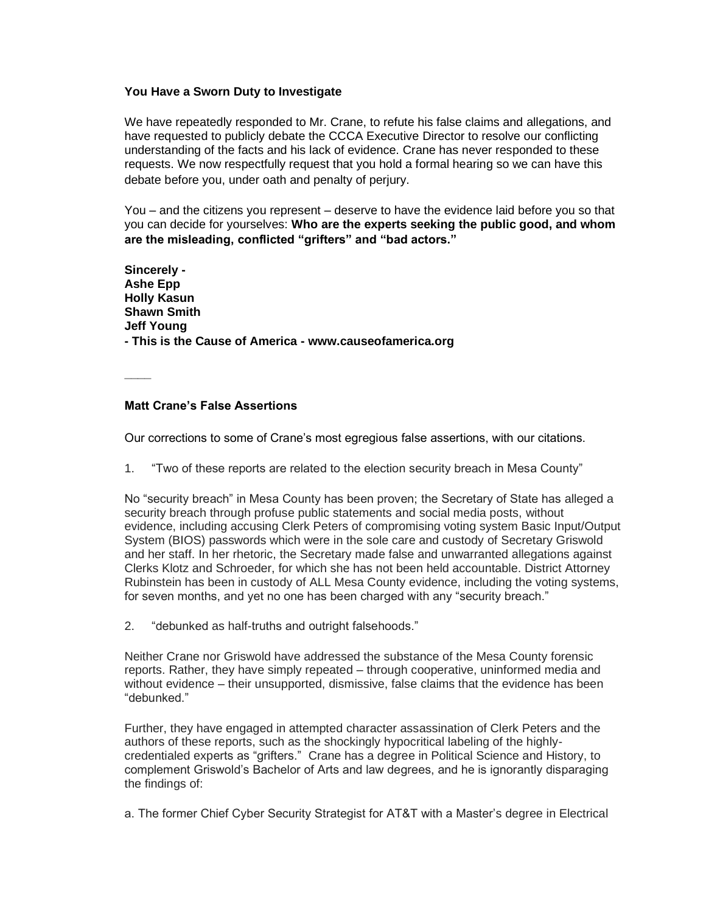# **You Have a Sworn Duty to Investigate**

We have repeatedly responded to Mr. Crane, to refute his false claims and allegations, and have requested to publicly debate the CCCA Executive Director to resolve our conflicting understanding of the facts and his lack of evidence. Crane has never responded to these requests. We now respectfully request that you hold a formal hearing so we can have this debate before you, under oath and penalty of perjury.

You – and the citizens you represent – deserve to have the evidence laid before you so that you can decide for yourselves: **Who are the experts seeking the public good, and whom are the misleading, conflicted "grifters" and "bad actors."**

**Sincerely - Ashe Epp Holly Kasun Shawn Smith Jeff Young - This is the Cause of America - www.causeofamerica.org**

**\_\_\_\_**

# **Matt Crane's False Assertions**

Our corrections to some of Crane's most egregious false assertions, with our citations.

1. "Two of these reports are related to the election security breach in Mesa County"

No "security breach" in Mesa County has been proven; the Secretary of State has alleged a security breach through profuse public statements and social media posts, without evidence, including accusing Clerk Peters of compromising voting system Basic Input/Output System (BIOS) passwords which were in the sole care and custody of Secretary Griswold and her staff. In her rhetoric, the Secretary made false and unwarranted allegations against Clerks Klotz and Schroeder, for which she has not been held accountable. District Attorney Rubinstein has been in custody of ALL Mesa County evidence, including the voting systems, for seven months, and yet no one has been charged with any "security breach."

2. "debunked as half-truths and outright falsehoods."

Neither Crane nor Griswold have addressed the substance of the Mesa County forensic reports. Rather, they have simply repeated – through cooperative, uninformed media and without evidence – their unsupported, dismissive, false claims that the evidence has been "debunked."

Further, they have engaged in attempted character assassination of Clerk Peters and the authors of these reports, such as the shockingly hypocritical labeling of the highlycredentialed experts as "grifters." Crane has a degree in Political Science and History, to complement Griswold's Bachelor of Arts and law degrees, and he is ignorantly disparaging the findings of:

a. The former Chief Cyber Security Strategist for AT&T with a Master's degree in Electrical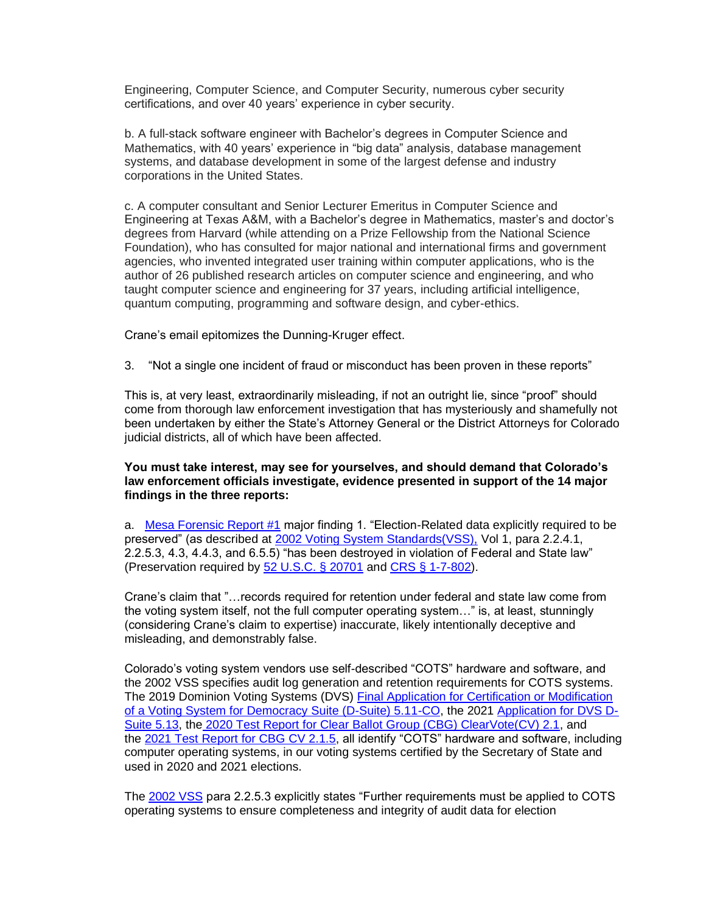Engineering, Computer Science, and Computer Security, numerous cyber security certifications, and over 40 years' experience in cyber security.

b. A full-stack software engineer with Bachelor's degrees in Computer Science and Mathematics, with 40 years' experience in "big data" analysis, database management systems, and database development in some of the largest defense and industry corporations in the United States.

c. A computer consultant and Senior Lecturer Emeritus in Computer Science and Engineering at Texas A&M, with a Bachelor's degree in Mathematics, master's and doctor's degrees from Harvard (while attending on a Prize Fellowship from the National Science Foundation), who has consulted for major national and international firms and government agencies, who invented integrated user training within computer applications, who is the author of 26 published research articles on computer science and engineering, and who taught computer science and engineering for 37 years, including artificial intelligence, quantum computing, programming and software design, and cyber-ethics.

Crane's email epitomizes the Dunning-Kruger effect.

3. "Not a single one incident of fraud or misconduct has been proven in these reports"

This is, at very least, extraordinarily misleading, if not an outright lie, since "proof" should come from thorough law enforcement investigation that has mysteriously and shamefully not been undertaken by either the State's Attorney General or the District Attorneys for Colorado judicial districts, all of which have been affected.

# **You must take interest, may see for yourselves, and should demand that Colorado's law enforcement officials investigate, evidence presented in support of the 14 major findings in the three reports:**

a. [Mesa Forensic Report #1](https://useipdotus.files.wordpress.com/2021/09/21.09.21-amended-exhibit-f-ex-f-1-1.pdf) major finding 1. "Election-Related data explicitly required to be preserved" (as described at [2002 Voting System Standards\(VSS\),](https://www.eac.gov/sites/default/files/eac_assets/1/28/Voting_System_Standards_Volume_I.pdf) Vol 1, para 2.2.4.1, 2.2.5.3, 4.3, 4.4.3, and 6.5.5) "has been destroyed in violation of Federal and State law" (Preservation required by [52 U.S.C. § 20701](https://codes.findlaw.com/us/title-52-voting-and-elections/52-usc-sect-20701.html) and [CRS § 1-7-802\)](https://codes.findlaw.com/co/title-1-elections/co-rev-st-sect-1-7-802.html).

Crane's claim that "…records required for retention under federal and state law come from the voting system itself, not the full computer operating system…" is, at least, stunningly (considering Crane's claim to expertise) inaccurate, likely intentionally deceptive and misleading, and demonstrably false.

Colorado's voting system vendors use self-described "COTS" hardware and software, and the 2002 VSS specifies audit log generation and retention requirements for COTS systems. The 2019 Dominion Voting Systems (DVS) [Final Application for Certification or Modification](https://www.coloradosos.gov/pubs/elections/VotingSystems/DVS-DemocracySuite511/finalApplicationForCertification.pdf)  [of a Voting System for Democracy Suite \(D-Suite\) 5.11-CO,](https://www.coloradosos.gov/pubs/elections/VotingSystems/DVS-DemocracySuite511/finalApplicationForCertification.pdf) the 2021 [Application for DVS D-](https://www.coloradosos.gov/pubs/elections/VotingSystems/DVS-DemocracySuite513/finalApplicationForCertification.pdf)[Suite 5.13,](https://www.coloradosos.gov/pubs/elections/VotingSystems/DVS-DemocracySuite513/finalApplicationForCertification.pdf) the [2020 Test Report for Clear Ballot Group \(CBG\) ClearVote\(CV\) 2.1,](https://web.archive.org/web/20201017064102/https:/www.sos.state.co.us/pubs/elections/VotingSystems/ClearVote2-1/testReport.pdf) and the [2021 Test Report for CBG CV 2.1.5,](https://www.coloradosos.gov/pubs/elections/VotingSystems/ClearVote2-1/testReport.pdf) all identify "COTS" hardware and software, including computer operating systems, in our voting systems certified by the Secretary of State and used in 2020 and 2021 elections.

The [2002 VSS](https://www.eac.gov/sites/default/files/eac_assets/1/28/Voting_System_Standards_Volume_I.pdf) para 2.2.5.3 explicitly states "Further requirements must be applied to COTS operating systems to ensure completeness and integrity of audit data for election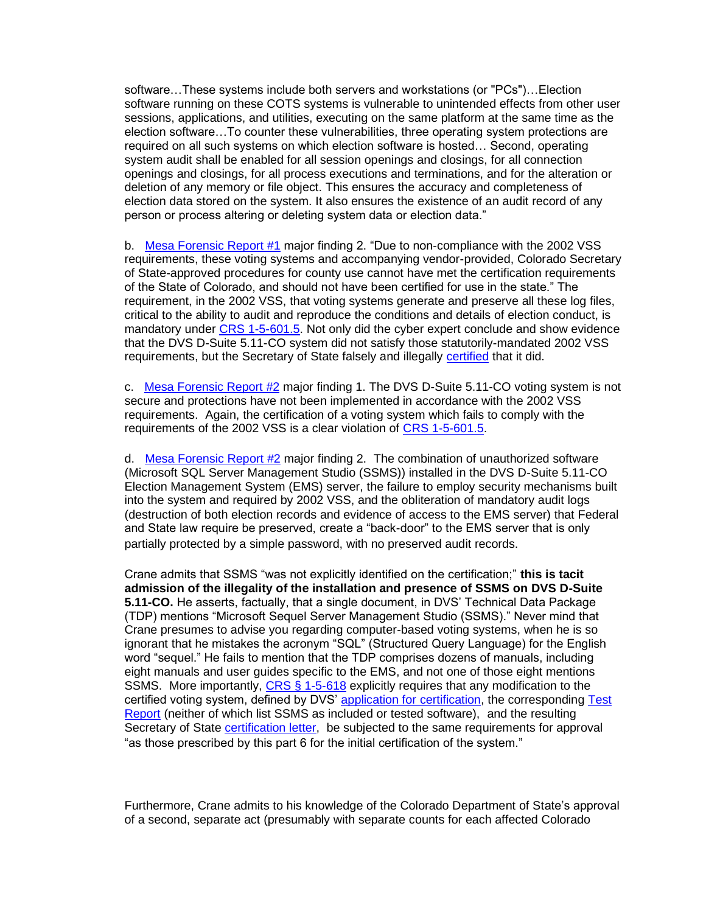software…These systems include both servers and workstations (or "PCs")…Election software running on these COTS systems is vulnerable to unintended effects from other user sessions, applications, and utilities, executing on the same platform at the same time as the election software…To counter these vulnerabilities, three operating system protections are required on all such systems on which election software is hosted… Second, operating system audit shall be enabled for all session openings and closings, for all connection openings and closings, for all process executions and terminations, and for the alteration or deletion of any memory or file object. This ensures the accuracy and completeness of election data stored on the system. It also ensures the existence of an audit record of any person or process altering or deleting system data or election data."

b. [Mesa Forensic Report #1](https://useipdotus.files.wordpress.com/2021/09/21.09.21-amended-exhibit-f-ex-f-1-1.pdf) major finding 2. "Due to non-compliance with the 2002 VSS requirements, these voting systems and accompanying vendor-provided, Colorado Secretary of State-approved procedures for county use cannot have met the certification requirements of the State of Colorado, and should not have been certified for use in the state." The requirement, in the 2002 VSS, that voting systems generate and preserve all these log files, critical to the ability to audit and reproduce the conditions and details of election conduct, is mandatory under [CRS 1-5-601.5.](https://codes.findlaw.com/co/title-1-elections/co-rev-st-sect-1-5-601-5.html) Not only did the cyber expert conclude and show evidence that the DVS D-Suite 5.11-CO system did not satisfy those statutorily-mandated 2002 VSS requirements, but the Secretary of State falsely and illegally [certified](https://www.coloradosos.gov/pubs/elections/VotingSystems/DVS-DemocracySuite511/certificationLetter.pdf) that it did.

c. [Mesa Forensic Report #2](https://useipdotus.files.wordpress.com/2022/03/mesa-county-forensic-report-no.-2.pdf) major finding 1. The DVS D-Suite 5.11-CO voting system is not secure and protections have not been implemented in accordance with the 2002 VSS requirements. Again, the certification of a voting system which fails to comply with the requirements of the 2002 VSS is a clear violation of [CRS 1-5-601.5.](https://codes.findlaw.com/co/title-1-elections/co-rev-st-sect-1-5-601-5.html)

d. [Mesa Forensic Report #2](https://useipdotus.files.wordpress.com/2022/03/mesa-county-forensic-report-no.-2.pdf) major finding 2. The combination of unauthorized software (Microsoft SQL Server Management Studio (SSMS)) installed in the DVS D-Suite 5.11-CO Election Management System (EMS) server, the failure to employ security mechanisms built into the system and required by 2002 VSS, and the obliteration of mandatory audit logs (destruction of both election records and evidence of access to the EMS server) that Federal and State law require be preserved, create a "back-door" to the EMS server that is only partially protected by a simple password, with no preserved audit records.

Crane admits that SSMS "was not explicitly identified on the certification;" **this is tacit admission of the illegality of the installation and presence of SSMS on DVS D-Suite 5.11-CO.** He asserts, factually, that a single document, in DVS' Technical Data Package (TDP) mentions "Microsoft Sequel Server Management Studio (SSMS)." Never mind that Crane presumes to advise you regarding computer-based voting systems, when he is so ignorant that he mistakes the acronym "SQL" (Structured Query Language) for the English word "sequel." He fails to mention that the TDP comprises dozens of manuals, including eight manuals and user guides specific to the EMS, and not one of those eight mentions SSMS. More importantly, [CRS § 1-5-618](https://codes.findlaw.com/co/title-1-elections/co-rev-st-sect-1-5-618.html) explicitly requires that any modification to the certified voting system, defined by DVS' [application for certification,](https://www.coloradosos.gov/pubs/elections/VotingSystems/DVS-DemocracySuite511/finalApplicationForCertification.pdf) the corresponding Test [Report](https://www.coloradosos.gov/pubs/elections/VotingSystems/DVS-DemocracySuite511/testReport.pdf) (neither of which list SSMS as included or tested software), and the resulting Secretary of State [certification letter,](https://www.coloradosos.gov/pubs/elections/VotingSystems/DVS-DemocracySuite511/certificationLetter.pdf) be subjected to the same requirements for approval "as those prescribed by this part 6 for the initial certification of the system."

Furthermore, Crane admits to his knowledge of the Colorado Department of State's approval of a second, separate act (presumably with separate counts for each affected Colorado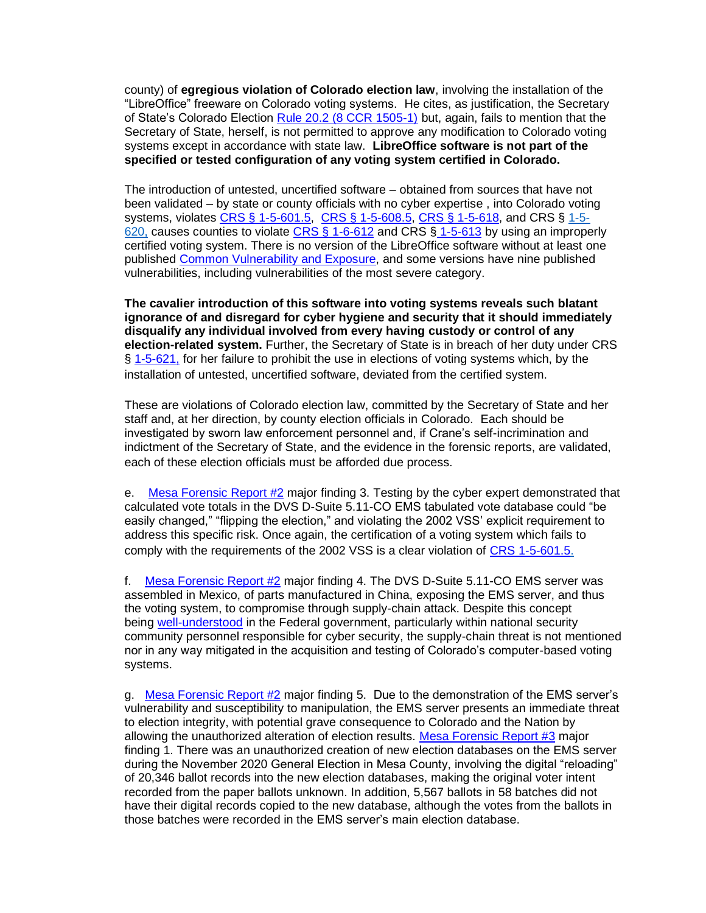county) of **egregious violation of Colorado election law**, involving the installation of the "LibreOffice" freeware on Colorado voting systems. He cites, as justification, the Secretary of State's Colorado Election [Rule 20.2 \(8 CCR 1505-1\)](https://www.sos.state.co.us/pubs/rule_making/CurrentRules/8CCR1505-1/Rule20.pdf) but, again, fails to mention that the Secretary of State, herself, is not permitted to approve any modification to Colorado voting systems except in accordance with state law. **LibreOffice software is not part of the specified or tested configuration of any voting system certified in Colorado.**

The introduction of untested, uncertified software – obtained from sources that have not been validated – by state or county officials with no cyber expertise , into Colorado voting systems, violates [CRS § 1-5-601.5,](https://codes.findlaw.com/co/title-1-elections/co-rev-st-sect-1-5-601-5.html) [CRS § 1-5-608.5,](https://codes.findlaw.com/co/title-1-elections/co-rev-st-sect-1-5-608-5.html) [CRS § 1-5-618,](https://codes.findlaw.com/co/title-1-elections/co-rev-st-sect-1-5-618.html) and CRS § 1-5-620, causes counties to violate [CRS § 1-6-612](https://codes.findlaw.com/co/title-1-elections/co-rev-st-sect-1-5-612.html) and CRS § [1-5-613](https://codes.findlaw.com/co/title-1-elections/co-rev-st-sect-1-5-613.html) by using an improperly certified voting system. There is no version of the LibreOffice software without at least one published [Common Vulnerability and Exposure,](https://www.cvedetails.com/product/21008/Libreoffice-Libreoffice.html?vendor_id=11439) and some versions have nine published vulnerabilities, including vulnerabilities of the most severe category.

**The cavalier introduction of this software into voting systems reveals such blatant ignorance of and disregard for cyber hygiene and security that it should immediately disqualify any individual involved from every having custody or control of any election-related system.** Further, the Secretary of State is in breach of her duty under CRS § [1-5-621,](https://codes.findlaw.com/co/title-1-elections/co-rev-st-sect-1-5-621.html) for her failure to prohibit the use in elections of voting systems which, by the installation of untested, uncertified software, deviated from the certified system.

These are violations of Colorado election law, committed by the Secretary of State and her staff and, at her direction, by county election officials in Colorado. Each should be investigated by sworn law enforcement personnel and, if Crane's self-incrimination and indictment of the Secretary of State, and the evidence in the forensic reports, are validated, each of these election officials must be afforded due process.

e. [Mesa Forensic Report #2](https://useipdotus.files.wordpress.com/2022/03/mesa-county-forensic-report-no.-2.pdf) major finding 3. Testing by the cyber expert demonstrated that calculated vote totals in the DVS D-Suite 5.11-CO EMS tabulated vote database could "be easily changed," "flipping the election," and violating the 2002 VSS' explicit requirement to address this specific risk. Once again, the certification of a voting system which fails to comply with the requirements of the 2002 VSS is a clear violation of [CRS 1-5-601.5.](https://codes.findlaw.com/co/title-1-elections/co-rev-st-sect-1-5-601-5.html)

f. [Mesa Forensic Report #2](https://useipdotus.files.wordpress.com/2022/03/mesa-county-forensic-report-no.-2.pdf) major finding 4. The DVS D-Suite 5.11-CO EMS server was assembled in Mexico, of parts manufactured in China, exposing the EMS server, and thus the voting system, to compromise through supply-chain attack. Despite this concept being [well-understood](https://www.mitre.org/sites/default/files/publications/supply-chain-attack-framework-14-0228.pdf) in the Federal government, particularly within national security community personnel responsible for cyber security, the supply-chain threat is not mentioned nor in any way mitigated in the acquisition and testing of Colorado's computer-based voting systems.

g. [Mesa Forensic Report #2](https://useipdotus.files.wordpress.com/2022/03/mesa-county-forensic-report-no.-2.pdf) major finding 5. Due to the demonstration of the EMS server's vulnerability and susceptibility to manipulation, the EMS server presents an immediate threat to election integrity, with potential grave consequence to Colorado and the Nation by allowing the unauthorized alteration of election results. [Mesa Forensic Report #3](https://useipdotus.files.wordpress.com/2022/03/mesa-3-report.pdf) major finding 1. There was an unauthorized creation of new election databases on the EMS server during the November 2020 General Election in Mesa County, involving the digital "reloading" of 20,346 ballot records into the new election databases, making the original voter intent recorded from the paper ballots unknown. In addition, 5,567 ballots in 58 batches did not have their digital records copied to the new database, although the votes from the ballots in those batches were recorded in the EMS server's main election database.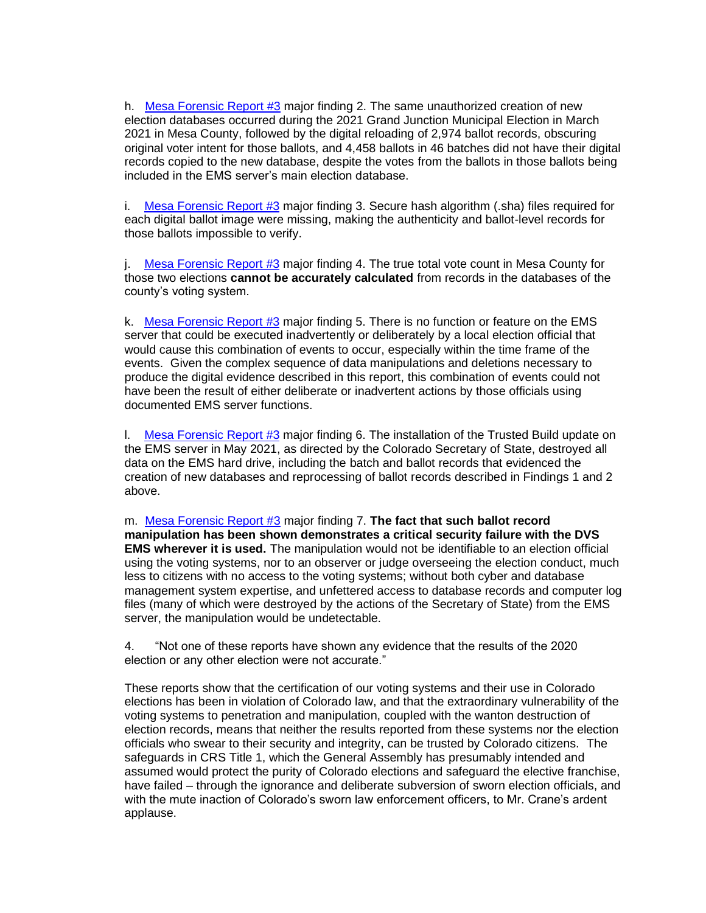h. [Mesa Forensic Report #3](https://useipdotus.files.wordpress.com/2022/03/mesa-3-report.pdf) major finding 2. The same unauthorized creation of new election databases occurred during the 2021 Grand Junction Municipal Election in March 2021 in Mesa County, followed by the digital reloading of 2,974 ballot records, obscuring original voter intent for those ballots, and 4,458 ballots in 46 batches did not have their digital records copied to the new database, despite the votes from the ballots in those ballots being included in the EMS server's main election database.

i. Mesa Forensic Report  $#3$  major finding 3. Secure hash algorithm (.sha) files required for each digital ballot image were missing, making the authenticity and ballot-level records for those ballots impossible to verify.

j. [Mesa Forensic Report #3](https://useipdotus.files.wordpress.com/2022/03/mesa-3-report.pdf) major finding 4. The true total vote count in Mesa County for those two elections **cannot be accurately calculated** from records in the databases of the county's voting system.

k. [Mesa Forensic Report #3](https://useipdotus.files.wordpress.com/2022/03/mesa-3-report.pdf) major finding 5. There is no function or feature on the EMS server that could be executed inadvertently or deliberately by a local election official that would cause this combination of events to occur, especially within the time frame of the events. Given the complex sequence of data manipulations and deletions necessary to produce the digital evidence described in this report, this combination of events could not have been the result of either deliberate or inadvertent actions by those officials using documented EMS server functions.

I. Mesa Forensic Report  $#3$  major finding 6. The installation of the Trusted Build update on the EMS server in May 2021, as directed by the Colorado Secretary of State, destroyed all data on the EMS hard drive, including the batch and ballot records that evidenced the creation of new databases and reprocessing of ballot records described in Findings 1 and 2 above.

m. [Mesa Forensic Report #3](https://useipdotus.files.wordpress.com/2022/03/mesa-3-report.pdf) major finding 7. **The fact that such ballot record manipulation has been shown demonstrates a critical security failure with the DVS EMS wherever it is used.** The manipulation would not be identifiable to an election official using the voting systems, nor to an observer or judge overseeing the election conduct, much less to citizens with no access to the voting systems; without both cyber and database management system expertise, and unfettered access to database records and computer log files (many of which were destroyed by the actions of the Secretary of State) from the EMS server, the manipulation would be undetectable.

4. "Not one of these reports have shown any evidence that the results of the 2020 election or any other election were not accurate."

These reports show that the certification of our voting systems and their use in Colorado elections has been in violation of Colorado law, and that the extraordinary vulnerability of the voting systems to penetration and manipulation, coupled with the wanton destruction of election records, means that neither the results reported from these systems nor the election officials who swear to their security and integrity, can be trusted by Colorado citizens. The safeguards in CRS Title 1, which the General Assembly has presumably intended and assumed would protect the purity of Colorado elections and safeguard the elective franchise, have failed – through the ignorance and deliberate subversion of sworn election officials, and with the mute inaction of Colorado's sworn law enforcement officers, to Mr. Crane's ardent applause.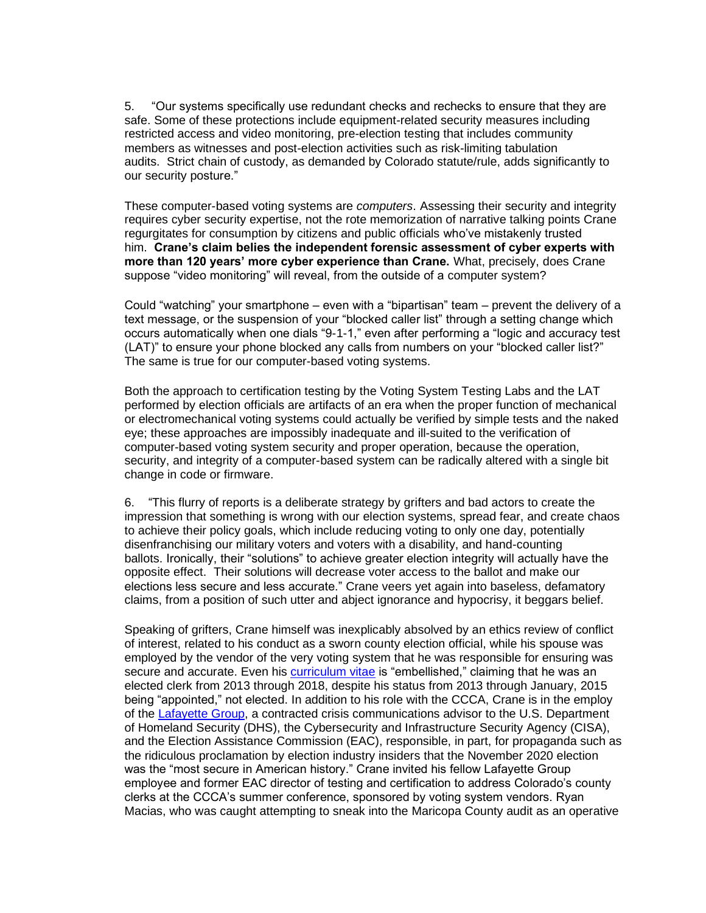5. "Our systems specifically use redundant checks and rechecks to ensure that they are safe. Some of these protections include equipment-related security measures including restricted access and video monitoring, pre-election testing that includes community members as witnesses and post-election activities such as risk-limiting tabulation audits. Strict chain of custody, as demanded by Colorado statute/rule, adds significantly to our security posture."

These computer-based voting systems are *computers*. Assessing their security and integrity requires cyber security expertise, not the rote memorization of narrative talking points Crane regurgitates for consumption by citizens and public officials who've mistakenly trusted him. **Crane's claim belies the independent forensic assessment of cyber experts with more than 120 years' more cyber experience than Crane.** What, precisely, does Crane suppose "video monitoring" will reveal, from the outside of a computer system?

Could "watching" your smartphone – even with a "bipartisan" team – prevent the delivery of a text message, or the suspension of your "blocked caller list" through a setting change which occurs automatically when one dials "9-1-1," even after performing a "logic and accuracy test (LAT)" to ensure your phone blocked any calls from numbers on your "blocked caller list?" The same is true for our computer-based voting systems.

Both the approach to certification testing by the Voting System Testing Labs and the LAT performed by election officials are artifacts of an era when the proper function of mechanical or electromechanical voting systems could actually be verified by simple tests and the naked eye; these approaches are impossibly inadequate and ill-suited to the verification of computer-based voting system security and proper operation, because the operation, security, and integrity of a computer-based system can be radically altered with a single bit change in code or firmware.

6. "This flurry of reports is a deliberate strategy by grifters and bad actors to create the impression that something is wrong with our election systems, spread fear, and create chaos to achieve their policy goals, which include reducing voting to only one day, potentially disenfranchising our military voters and voters with a disability, and hand-counting ballots. Ironically, their "solutions" to achieve greater election integrity will actually have the opposite effect. Their solutions will decrease voter access to the ballot and make our elections less secure and less accurate." Crane veers yet again into baseless, defamatory claims, from a position of such utter and abject ignorance and hypocrisy, it beggars belief.

Speaking of grifters, Crane himself was inexplicably absolved by an ethics review of conflict of interest, related to his conduct as a sworn county election official, while his spouse was employed by the vendor of the very voting system that he was responsible for ensuring was secure and accurate. Even his [curriculum vitae](https://eoldn.org/people/matt-crane/) is "embellished," claiming that he was an elected clerk from 2013 through 2018, despite his status from 2013 through January, 2015 being "appointed," not elected. In addition to his role with the CCCA, Crane is in the employ of the [Lafayette Group,](https://www.linkedin.com/in/matt-crane-3a21493/) a contracted crisis communications advisor to the U.S. Department of Homeland Security (DHS), the Cybersecurity and Infrastructure Security Agency (CISA), and the Election Assistance Commission (EAC), responsible, in part, for propaganda such as the ridiculous proclamation by election industry insiders that the November 2020 election was the "most secure in American history." Crane invited his fellow Lafayette Group employee and former EAC director of testing and certification to address Colorado's county clerks at the CCCA's summer conference, sponsored by voting system vendors. Ryan Macias, who was caught attempting to sneak into the Maricopa County audit as an operative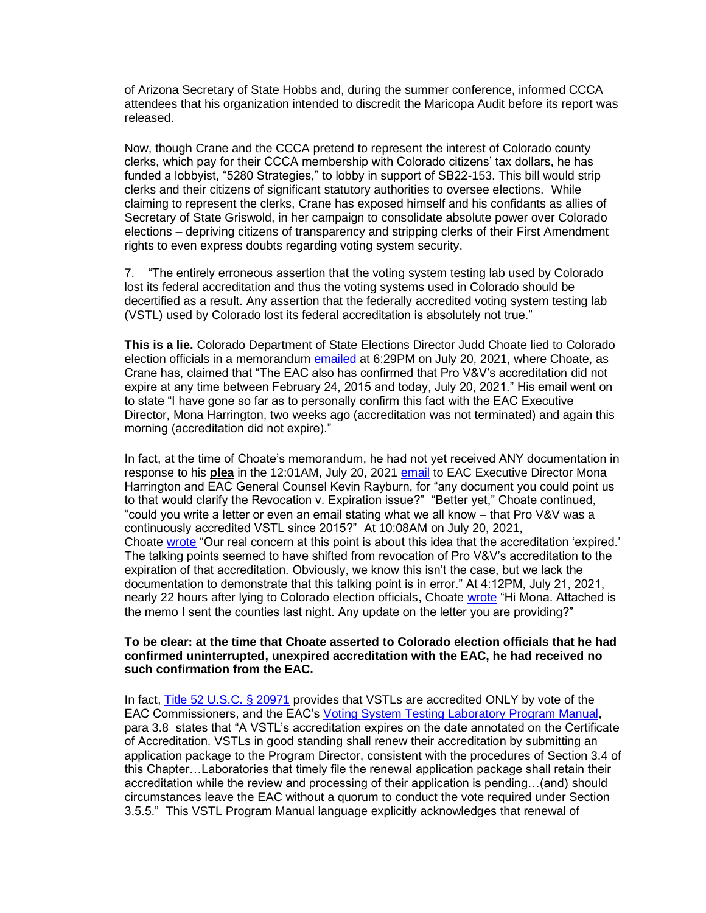of Arizona Secretary of State Hobbs and, during the summer conference, informed CCCA attendees that his organization intended to discredit the Maricopa Audit before its report was released.

Now, though Crane and the CCCA pretend to represent the interest of Colorado county clerks, which pay for their CCCA membership with Colorado citizens' tax dollars, he has funded a lobbyist, "5280 Strategies," to lobby in support of SB22-153. This bill would strip clerks and their citizens of significant statutory authorities to oversee elections. While claiming to represent the clerks, Crane has exposed himself and his confidants as allies of Secretary of State Griswold, in her campaign to consolidate absolute power over Colorado elections – depriving citizens of transparency and stripping clerks of their First Amendment rights to even express doubts regarding voting system security.

7. "The entirely erroneous assertion that the voting system testing lab used by Colorado lost its federal accreditation and thus the voting systems used in Colorado should be decertified as a result. Any assertion that the federally accredited voting system testing lab (VSTL) used by Colorado lost its federal accreditation is absolutely not true."

**This is a lie.** Colorado Department of State Elections Director Judd Choate lied to Colorado election officials in a memorandum [emailed](https://causeofamerica.org/document/2021-jun-19-co-responsive-results-combined-redacted-koppes/) at 6:29PM on July 20, 2021, where Choate, as Crane has, claimed that "The EAC also has confirmed that Pro V&V's accreditation did not expire at any time between February 24, 2015 and today, July 20, 2021." His email went on to state "I have gone so far as to personally confirm this fact with the EAC Executive Director, Mona Harrington, two weeks ago (accreditation was not terminated) and again this morning (accreditation did not expire)."

In fact, at the time of Choate's memorandum, he had not yet received ANY documentation in response to his **plea** in the 12:01AM, July 20, 2021 [email](https://causeofamerica.org/document/2021-jun-19-co-responsive-results-combined-redacted-koppes/) to EAC Executive Director Mona Harrington and EAC General Counsel Kevin Rayburn, for "any document you could point us to that would clarify the Revocation v. Expiration issue?" "Better yet," Choate continued, "could you write a letter or even an email stating what we all know – that Pro V&V was a continuously accredited VSTL since 2015?" At 10:08AM on July 20, 2021, Choate [wrote](https://causeofamerica.org/document/2021-jun-19-co-responsive-results-combined-redacted-koppes/) "Our real concern at this point is about this idea that the accreditation 'expired.' The talking points seemed to have shifted from revocation of Pro V&V's accreditation to the expiration of that accreditation. Obviously, we know this isn't the case, but we lack the documentation to demonstrate that this talking point is in error." At 4:12PM, July 21, 2021, nearly 22 hours after lying to Colorado election officials, Choate [wrote](https://causeofamerica.org/document/2021-jun-19-co-responsive-results-combined-redacted-koppes/) "Hi Mona. Attached is the memo I sent the counties last night. Any update on the letter you are providing?"

#### **To be clear: at the time that Choate asserted to Colorado election officials that he had confirmed uninterrupted, unexpired accreditation with the EAC, he had received no such confirmation from the EAC.**

In fact, [Title 52 U.S.C. § 20971](https://codes.findlaw.com/us/title-52-voting-and-elections/52-usc-sect-20971.html) provides that VSTLs are accredited ONLY by vote of the EAC Commissioners, and the EAC's [Voting System Testing Laboratory Program Manual,](https://www.eac.gov/sites/default/files/eac_assets/1/6/Cert_Manual_7_8_15_FINAL.pdf) para 3.8 states that "A VSTL's accreditation expires on the date annotated on the Certificate of Accreditation. VSTLs in good standing shall renew their accreditation by submitting an application package to the Program Director, consistent with the procedures of Section 3.4 of this Chapter…Laboratories that timely file the renewal application package shall retain their accreditation while the review and processing of their application is pending…(and) should circumstances leave the EAC without a quorum to conduct the vote required under Section 3.5.5." This VSTL Program Manual language explicitly acknowledges that renewal of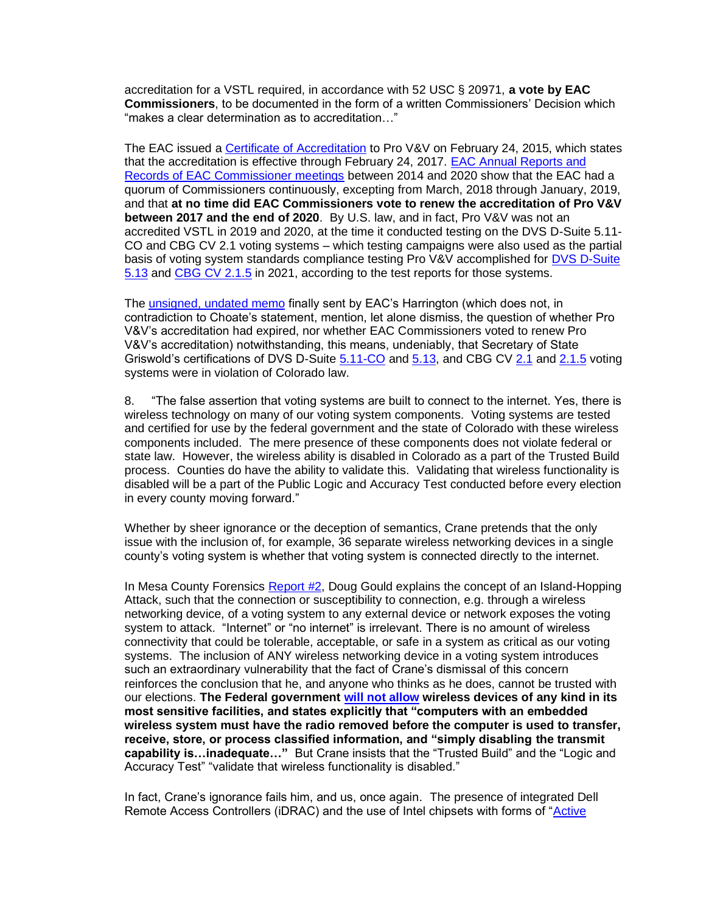accreditation for a VSTL required, in accordance with 52 USC § 20971, **a vote by EAC Commissioners**, to be documented in the form of a written Commissioners' Decision which "makes a clear determination as to accreditation…"

The EAC issued a [Certificate of Accreditation](https://www.eac.gov/sites/default/files/voting_system_test_lab/files/Pro_VandV_accreditation_certificate_2015.pdf) to Pro V&V on February 24, 2015, which states that the accreditation is effective through February 24, 2017. EAC Annual Reports and [Records of EAC Commissioner meetings](https://www.eac.gov/about-the-useac) between 2014 and 2020 show that the EAC had a quorum of Commissioners continuously, excepting from March, 2018 through January, 2019, and that **at no time did EAC Commissioners vote to renew the accreditation of Pro V&V between 2017 and the end of 2020**. By U.S. law, and in fact, Pro V&V was not an accredited VSTL in 2019 and 2020, at the time it conducted testing on the DVS D-Suite 5.11- CO and CBG CV 2.1 voting systems – which testing campaigns were also used as the partial basis of voting system standards compliance testing Pro V&V accomplished for DVS D-Suite [5.13](https://www.coloradosos.gov/pubs/elections/VotingSystems/DVS-DemocracySuite513/testReport.pdf) and [CBG CV 2.1.5](https://www.coloradosos.gov/pubs/elections/VotingSystems/ClearVote2-1/testReport.pdf) in 2021, according to the test reports for those systems.

The [unsigned, undated memo](https://www.eac.gov/sites/default/files/voting_system_test_lab/files/VSTL%20Certificates%20and%20Accreditation.pdf) finally sent by EAC's Harrington (which does not, in contradiction to Choate's statement, mention, let alone dismiss, the question of whether Pro V&V's accreditation had expired, nor whether EAC Commissioners voted to renew Pro V&V's accreditation) notwithstanding, this means, undeniably, that Secretary of State Griswold's certifications of DVS D-Suite [5.11-CO](https://www.coloradosos.gov/pubs/elections/VotingSystems/DVS-DemocracySuite511/certificationLetter.pdf) and [5.13,](https://www.coloradosos.gov/pubs/elections/VotingSystems/DVS-DemocracySuite513/certificationLetter.pdf) and CBG CV [2.1](https://web.archive.org/web/20201016173207/https:/www.sos.state.co.us/pubs/elections/VotingSystems/ClearVote2-1/temporaryApproval.pdf) and [2.1.5](https://www.coloradosos.gov/pubs/elections/VotingSystems/ClearVote2-1/ClearVote2-1-5CertificationLetter.pdf) voting systems were in violation of Colorado law.

8. "The false assertion that voting systems are built to connect to the internet. Yes, there is wireless technology on many of our voting system components. Voting systems are tested and certified for use by the federal government and the state of Colorado with these wireless components included. The mere presence of these components does not violate federal or state law. However, the wireless ability is disabled in Colorado as a part of the Trusted Build process. Counties do have the ability to validate this. Validating that wireless functionality is disabled will be a part of the Public Logic and Accuracy Test conducted before every election in every county moving forward."

Whether by sheer ignorance or the deception of semantics, Crane pretends that the only issue with the inclusion of, for example, 36 separate wireless networking devices in a single county's voting system is whether that voting system is connected directly to the internet.

In Mesa County Forensics [Report #2,](https://useipdotus.files.wordpress.com/2022/03/mesa-county-forensic-report-no.-2.pdf) Doug Gould explains the concept of an Island-Hopping Attack, such that the connection or susceptibility to connection, e.g. through a wireless networking device, of a voting system to any external device or network exposes the voting system to attack. "Internet" or "no internet" is irrelevant. There is no amount of wireless connectivity that could be tolerable, acceptable, or safe in a system as critical as our voting systems. The inclusion of ANY wireless networking device in a voting system introduces such an extraordinary vulnerability that the fact of Crane's dismissal of this concern reinforces the conclusion that he, and anyone who thinks as he does, cannot be trusted with our elections. **The Federal government [will not allow](https://www.stigviewer.com/stig/general_wireless_policy/) wireless devices of any kind in its most sensitive facilities, and states explicitly that "computers with an embedded wireless system must have the radio removed before the computer is used to transfer, receive, store, or process classified information, and "simply disabling the transmit capability is…inadequate…"** But Crane insists that the "Trusted Build" and the "Logic and Accuracy Test" "validate that wireless functionality is disabled."

In fact, Crane's ignorance fails him, and us, once again. The presence of integrated Dell Remote Access Controllers (iDRAC) and the use of Intel chipsets with forms of "Active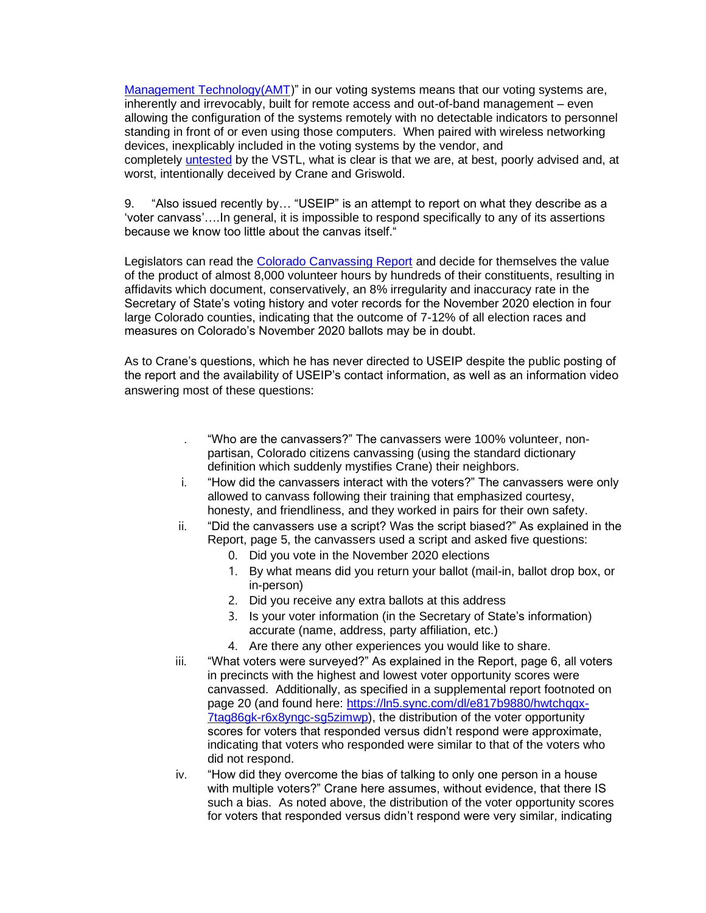[Management Technology\(AMT\)](https://www.admin-magazine.com/News/Millions-of-Intel-Processors-Are-Vulnerable-to-Attack)" in our voting systems means that our voting systems are, inherently and irrevocably, built for remote access and out-of-band management – even allowing the configuration of the systems remotely with no detectable indicators to personnel standing in front of or even using those computers. When paired with wireless networking devices, inexplicably included in the voting systems by the vendor, and completely [untested](https://www.coloradosos.gov/pubs/elections/VotingSystems/DVS-DemocracySuite511/testReport.pdf) by the VSTL, what is clear is that we are, at best, poorly advised and, at worst, intentionally deceived by Crane and Griswold.

9. "Also issued recently by… "USEIP" is an attempt to report on what they describe as a 'voter canvass'….In general, it is impossible to respond specifically to any of its assertions because we know too little about the canvas itself."

Legislators can read the [Colorado Canvassing Report](https://useipdotus.files.wordpress.com/2022/03/useip-colorado-canvassing-report.pdf) and decide for themselves the value of the product of almost 8,000 volunteer hours by hundreds of their constituents, resulting in affidavits which document, conservatively, an 8% irregularity and inaccuracy rate in the Secretary of State's voting history and voter records for the November 2020 election in four large Colorado counties, indicating that the outcome of 7-12% of all election races and measures on Colorado's November 2020 ballots may be in doubt.

As to Crane's questions, which he has never directed to USEIP despite the public posting of the report and the availability of USEIP's contact information, as well as an information video answering most of these questions:

- . "Who are the canvassers?" The canvassers were 100% volunteer, nonpartisan, Colorado citizens canvassing (using the standard dictionary definition which suddenly mystifies Crane) their neighbors.
- i. "How did the canvassers interact with the voters?" The canvassers were only allowed to canvass following their training that emphasized courtesy, honesty, and friendliness, and they worked in pairs for their own safety.
- ii. "Did the canvassers use a script? Was the script biased?" As explained in the Report, page 5, the canvassers used a script and asked five questions:
	- 0. Did you vote in the November 2020 elections
	- 1. By what means did you return your ballot (mail-in, ballot drop box, or in-person)
	- 2. Did you receive any extra ballots at this address
	- 3. Is your voter information (in the Secretary of State's information) accurate (name, address, party affiliation, etc.)
	- 4. Are there any other experiences you would like to share.
- iii. "What voters were surveyed?" As explained in the Report, page 6, all voters in precincts with the highest and lowest voter opportunity scores were canvassed. Additionally, as specified in a supplemental report footnoted on page 20 (and found here: [https://ln5.sync.com/dl/e817b9880/hwtchqqx-](https://ln5.sync.com/dl/e817b9880/hwtchqqx-7tag86gk-r6x8yngc-sg5zimwp)[7tag86gk-r6x8yngc-sg5zimwp\)](https://ln5.sync.com/dl/e817b9880/hwtchqqx-7tag86gk-r6x8yngc-sg5zimwp), the distribution of the voter opportunity scores for voters that responded versus didn't respond were approximate, indicating that voters who responded were similar to that of the voters who did not respond.
- iv. "How did they overcome the bias of talking to only one person in a house with multiple voters?" Crane here assumes, without evidence, that there IS such a bias. As noted above, the distribution of the voter opportunity scores for voters that responded versus didn't respond were very similar, indicating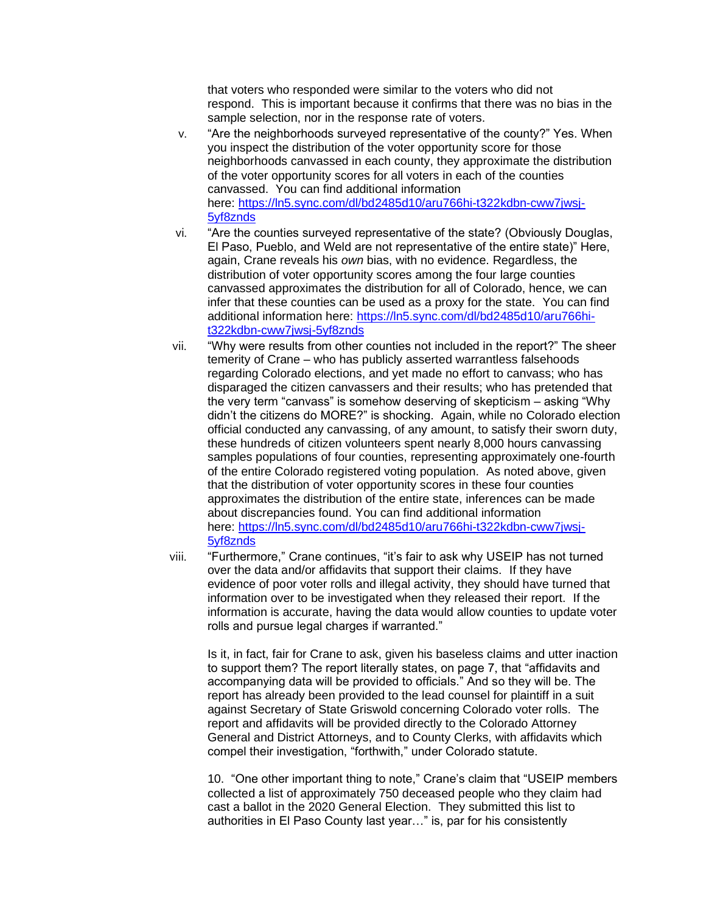that voters who responded were similar to the voters who did not respond. This is important because it confirms that there was no bias in the sample selection, nor in the response rate of voters.

- v. "Are the neighborhoods surveyed representative of the county?" Yes. When you inspect the distribution of the voter opportunity score for those neighborhoods canvassed in each county, they approximate the distribution of the voter opportunity scores for all voters in each of the counties canvassed. You can find additional information here: [https://ln5.sync.com/dl/bd2485d10/aru766hi-t322kdbn-cww7jwsj-](https://ln5.sync.com/dl/bd2485d10/aru766hi-t322kdbn-cww7jwsj-5yf8znds)[5yf8znds](https://ln5.sync.com/dl/bd2485d10/aru766hi-t322kdbn-cww7jwsj-5yf8znds)
- vi. "Are the counties surveyed representative of the state? (Obviously Douglas, El Paso, Pueblo, and Weld are not representative of the entire state)" Here, again, Crane reveals his *own* bias, with no evidence. Regardless, the distribution of voter opportunity scores among the four large counties canvassed approximates the distribution for all of Colorado, hence, we can infer that these counties can be used as a proxy for the state. You can find additional information here: [https://ln5.sync.com/dl/bd2485d10/aru766hi](https://ln5.sync.com/dl/bd2485d10/aru766hi-t322kdbn-cww7jwsj-5yf8znds)[t322kdbn-cww7jwsj-5yf8znds](https://ln5.sync.com/dl/bd2485d10/aru766hi-t322kdbn-cww7jwsj-5yf8znds)
- vii. "Why were results from other counties not included in the report?" The sheer temerity of Crane – who has publicly asserted warrantless falsehoods regarding Colorado elections, and yet made no effort to canvass; who has disparaged the citizen canvassers and their results; who has pretended that the very term "canvass" is somehow deserving of skepticism – asking "Why didn't the citizens do MORE?" is shocking. Again, while no Colorado election official conducted any canvassing, of any amount, to satisfy their sworn duty, these hundreds of citizen volunteers spent nearly 8,000 hours canvassing samples populations of four counties, representing approximately one-fourth of the entire Colorado registered voting population. As noted above, given that the distribution of voter opportunity scores in these four counties approximates the distribution of the entire state, inferences can be made about discrepancies found. You can find additional information here: [https://ln5.sync.com/dl/bd2485d10/aru766hi-t322kdbn-cww7jwsj-](https://ln5.sync.com/dl/bd2485d10/aru766hi-t322kdbn-cww7jwsj-5yf8znds)[5yf8znds](https://ln5.sync.com/dl/bd2485d10/aru766hi-t322kdbn-cww7jwsj-5yf8znds)
- viii. "Furthermore," Crane continues, "it's fair to ask why USEIP has not turned over the data and/or affidavits that support their claims. If they have evidence of poor voter rolls and illegal activity, they should have turned that information over to be investigated when they released their report. If the information is accurate, having the data would allow counties to update voter rolls and pursue legal charges if warranted."

Is it, in fact, fair for Crane to ask, given his baseless claims and utter inaction to support them? The report literally states, on page 7, that "affidavits and accompanying data will be provided to officials." And so they will be. The report has already been provided to the lead counsel for plaintiff in a suit against Secretary of State Griswold concerning Colorado voter rolls. The report and affidavits will be provided directly to the Colorado Attorney General and District Attorneys, and to County Clerks, with affidavits which compel their investigation, "forthwith," under Colorado statute.

10. "One other important thing to note," Crane's claim that "USEIP members collected a list of approximately 750 deceased people who they claim had cast a ballot in the 2020 General Election. They submitted this list to authorities in El Paso County last year…" is, par for his consistently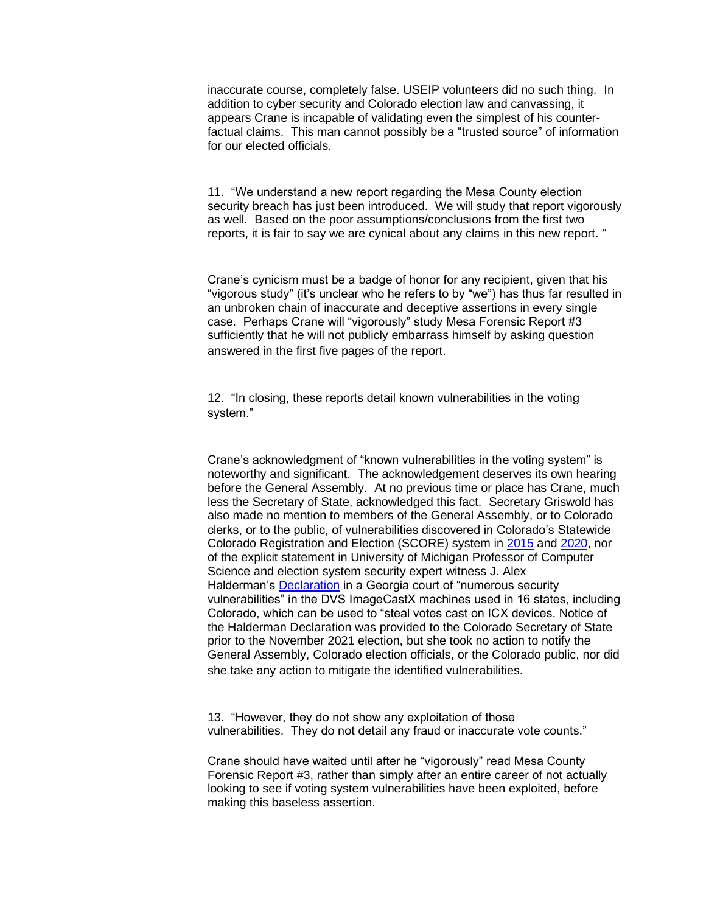inaccurate course, completely false. USEIP volunteers did no such thing. In addition to cyber security and Colorado election law and canvassing, it appears Crane is incapable of validating even the simplest of his counterfactual claims. This man cannot possibly be a "trusted source" of information for our elected officials.

11. "We understand a new report regarding the Mesa County election security breach has just been introduced. We will study that report vigorously as well. Based on the poor assumptions/conclusions from the first two reports, it is fair to say we are cynical about any claims in this new report. "

Crane's cynicism must be a badge of honor for any recipient, given that his "vigorous study" (it's unclear who he refers to by "we") has thus far resulted in an unbroken chain of inaccurate and deceptive assertions in every single case. Perhaps Crane will "vigorously" study Mesa Forensic Report #3 sufficiently that he will not publicly embarrass himself by asking question answered in the first five pages of the report.

12. "In closing, these reports detail known vulnerabilities in the voting system."

Crane's acknowledgment of "known vulnerabilities in the voting system" is noteworthy and significant. The acknowledgement deserves its own hearing before the General Assembly. At no previous time or place has Crane, much less the Secretary of State, acknowledged this fact. Secretary Griswold has also made no mention to members of the General Assembly, or to Colorado clerks, or to the public, of vulnerabilities discovered in Colorado's Statewide Colorado Registration and Election (SCORE) system in [2015](https://leg.colorado.gov/sites/default/files/documents/audits/1503p_department_of_state_performance_audit_november_2015.pdf) and [2020,](https://www.nass.org/node/2182) nor of the explicit statement in University of Michigan Professor of Computer Science and election system security expert witness J. Alex Halderman's [Declaration](https://cdn.michaeljlindell.com/downloads/fix2020first/exibits/Tab%2005%20092121%20Halderman%20Decl..pdf) in a Georgia court of "numerous security vulnerabilities" in the DVS ImageCastX machines used in 16 states, including Colorado, which can be used to "steal votes cast on ICX devices. Notice of the Halderman Declaration was provided to the Colorado Secretary of State prior to the November 2021 election, but she took no action to notify the General Assembly, Colorado election officials, or the Colorado public, nor did she take any action to mitigate the identified vulnerabilities.

13. "However, they do not show any exploitation of those vulnerabilities. They do not detail any fraud or inaccurate vote counts."

Crane should have waited until after he "vigorously" read Mesa County Forensic Report #3, rather than simply after an entire career of not actually looking to see if voting system vulnerabilities have been exploited, before making this baseless assertion.